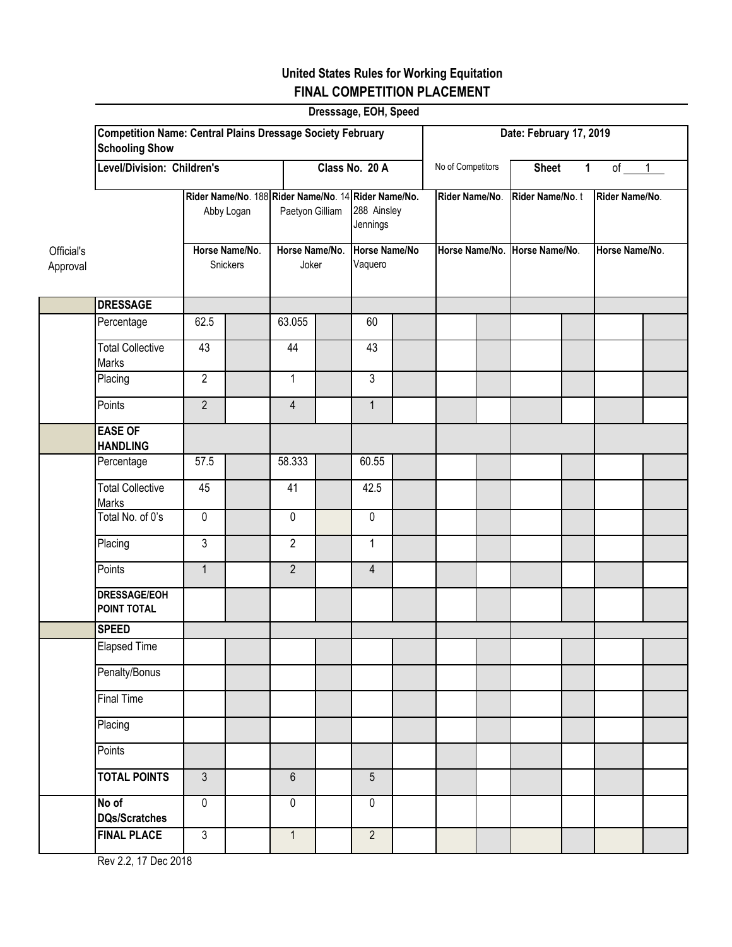## **United States Rules for Working Equitation FINAL COMPETITION PLACEMENT**

|                        |                                                                                            |                            |                                            |                |                                                     | Dresssage, EOH, Speed |                |  |                                                  |              |                                  |        |  |
|------------------------|--------------------------------------------------------------------------------------------|----------------------------|--------------------------------------------|----------------|-----------------------------------------------------|-----------------------|----------------|--|--------------------------------------------------|--------------|----------------------------------|--------|--|
|                        | <b>Competition Name: Central Plains Dressage Society February</b><br><b>Schooling Show</b> |                            | Date: February 17, 2019                    |                |                                                     |                       |                |  |                                                  |              |                                  |        |  |
|                        | Level/Division: Children's                                                                 |                            |                                            |                | Class No. 20 A                                      |                       |                |  | No of Competitors                                | <b>Sheet</b> | $\mathbf 1$                      | of $1$ |  |
|                        | Rider Name/No. 188 Rider Name/No. 14 Rider Name/No.<br>Abby Logan                          |                            | Paetyon Gilliam<br>Horse Name/No.<br>Joker |                | 288 Ainsley<br>Jennings<br>Horse Name/No<br>Vaquero |                       | Rider Name/No. |  | Rider Name/No.t<br>Horse Name/No. Horse Name/No. |              | Rider Name/No.<br>Horse Name/No. |        |  |
| Official's<br>Approval |                                                                                            | Horse Name/No.<br>Snickers |                                            |                |                                                     |                       |                |  |                                                  |              |                                  |        |  |
|                        | <b>DRESSAGE</b>                                                                            |                            |                                            |                |                                                     |                       |                |  |                                                  |              |                                  |        |  |
|                        | Percentage                                                                                 | 62.5                       |                                            | 63.055         |                                                     | 60                    |                |  |                                                  |              |                                  |        |  |
|                        | <b>Total Collective</b><br>Marks                                                           | 43                         |                                            | 44             |                                                     | 43                    |                |  |                                                  |              |                                  |        |  |
|                        | Placing                                                                                    | $\overline{2}$             |                                            | 1              |                                                     | 3                     |                |  |                                                  |              |                                  |        |  |
|                        | Points                                                                                     | $\overline{2}$             |                                            | $\overline{4}$ |                                                     | $\mathbf{1}$          |                |  |                                                  |              |                                  |        |  |
|                        | <b>EASE OF</b><br><b>HANDLING</b>                                                          |                            |                                            |                |                                                     |                       |                |  |                                                  |              |                                  |        |  |
|                        | Percentage                                                                                 | 57.5                       |                                            | 58.333         |                                                     | 60.55                 |                |  |                                                  |              |                                  |        |  |
|                        | <b>Total Collective</b><br>Marks                                                           | 45                         |                                            | 41             |                                                     | 42.5                  |                |  |                                                  |              |                                  |        |  |
|                        | Total No. of 0's                                                                           | $\pmb{0}$                  |                                            | $\mathbf 0$    |                                                     | 0                     |                |  |                                                  |              |                                  |        |  |
|                        | Placing                                                                                    | $\overline{3}$             |                                            | $\overline{2}$ |                                                     | $\mathbf{1}$          |                |  |                                                  |              |                                  |        |  |
|                        | Points                                                                                     | $\mathbf{1}$               |                                            | $\overline{2}$ |                                                     | 4                     |                |  |                                                  |              |                                  |        |  |
|                        | <b>DRESSAGE/EOH</b><br>POINT TOTAL                                                         |                            |                                            |                |                                                     |                       |                |  |                                                  |              |                                  |        |  |
|                        | <b>SPEED</b>                                                                               |                            |                                            |                |                                                     |                       |                |  |                                                  |              |                                  |        |  |
|                        | <b>Elapsed Time</b>                                                                        |                            |                                            |                |                                                     |                       |                |  |                                                  |              |                                  |        |  |
|                        | Penalty/Bonus                                                                              |                            |                                            |                |                                                     |                       |                |  |                                                  |              |                                  |        |  |
|                        | <b>Final Time</b>                                                                          |                            |                                            |                |                                                     |                       |                |  |                                                  |              |                                  |        |  |
|                        | Placing                                                                                    |                            |                                            |                |                                                     |                       |                |  |                                                  |              |                                  |        |  |
|                        | Points                                                                                     |                            |                                            |                |                                                     |                       |                |  |                                                  |              |                                  |        |  |
|                        | <b>TOTAL POINTS</b>                                                                        | $\mathfrak{Z}$             |                                            | $6\,$          |                                                     | $\overline{5}$        |                |  |                                                  |              |                                  |        |  |
|                        | No of<br><b>DQs/Scratches</b>                                                              | $\pmb{0}$                  |                                            | $\mathbf 0$    |                                                     | $\overline{0}$        |                |  |                                                  |              |                                  |        |  |
|                        | <b>FINAL PLACE</b>                                                                         | $\mathfrak{Z}$             |                                            | $\mathbf{1}$   |                                                     | $\overline{2}$        |                |  |                                                  |              |                                  |        |  |

Rev 2.2, 17 Dec 2018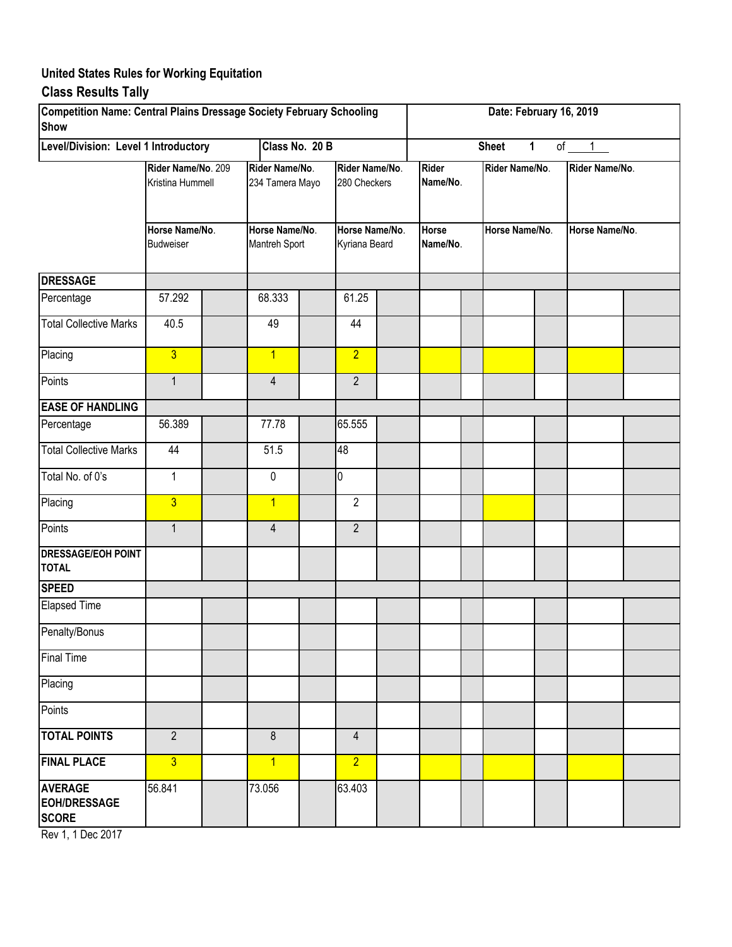# **United States Rules for Working Equitation**

## **Class Results Tally**

| Competition Name: Central Plains Dressage Society February Schooling<br><b>Show</b> |                                                                              | Date: February 16, 2019     |                                   |  |                                 |  |                          |  |                |  |                |  |
|-------------------------------------------------------------------------------------|------------------------------------------------------------------------------|-----------------------------|-----------------------------------|--|---------------------------------|--|--------------------------|--|----------------|--|----------------|--|
| Level/Division: Level 1 Introductory                                                |                                                                              | of $1$<br><b>Sheet</b><br>1 |                                   |  |                                 |  |                          |  |                |  |                |  |
|                                                                                     | Rider Name/No. 209<br>Kristina Hummell<br>Horse Name/No.<br><b>Budweiser</b> |                             | Rider Name/No.<br>234 Tamera Mayo |  | Rider Name/No.<br>280 Checkers  |  | <b>Rider</b><br>Name/No. |  | Rider Name/No. |  | Rider Name/No. |  |
|                                                                                     |                                                                              |                             | Horse Name/No.<br>Mantreh Sport   |  | Horse Name/No.<br>Kyriana Beard |  | Horse<br>Name/No.        |  | Horse Name/No. |  | Horse Name/No. |  |
| <b>DRESSAGE</b>                                                                     |                                                                              |                             |                                   |  |                                 |  |                          |  |                |  |                |  |
| Percentage                                                                          | 57.292                                                                       |                             | 68.333                            |  | 61.25                           |  |                          |  |                |  |                |  |
| <b>Total Collective Marks</b>                                                       | 40.5                                                                         |                             | 49                                |  | 44                              |  |                          |  |                |  |                |  |
| Placing                                                                             | $\overline{3}$                                                               |                             | $\overline{1}$                    |  | $\overline{2}$                  |  |                          |  |                |  |                |  |
| Points                                                                              | $\mathbf{1}$                                                                 |                             | 4                                 |  | $\overline{2}$                  |  |                          |  |                |  |                |  |
| <b>EASE OF HANDLING</b>                                                             |                                                                              |                             |                                   |  |                                 |  |                          |  |                |  |                |  |
| Percentage                                                                          | 56.389                                                                       |                             | 77.78                             |  | 65.555                          |  |                          |  |                |  |                |  |
| <b>Total Collective Marks</b>                                                       | 44                                                                           |                             | 51.5                              |  | 48                              |  |                          |  |                |  |                |  |
| Total No. of 0's                                                                    | $\mathbf{1}$                                                                 |                             | 0                                 |  | 0                               |  |                          |  |                |  |                |  |
| Placing                                                                             | $\overline{3}$                                                               |                             | $\overline{1}$                    |  | $\overline{2}$                  |  |                          |  |                |  |                |  |
| Points                                                                              | $\mathbf{1}$                                                                 |                             | $\overline{4}$                    |  | $\overline{2}$                  |  |                          |  |                |  |                |  |
| <b>DRESSAGE/EOH POINT</b><br><b>TOTAL</b>                                           |                                                                              |                             |                                   |  |                                 |  |                          |  |                |  |                |  |
| <b>SPEED</b>                                                                        |                                                                              |                             |                                   |  |                                 |  |                          |  |                |  |                |  |
| <b>Elapsed Time</b>                                                                 |                                                                              |                             |                                   |  |                                 |  |                          |  |                |  |                |  |
| Penalty/Bonus                                                                       |                                                                              |                             |                                   |  |                                 |  |                          |  |                |  |                |  |
| <b>Final Time</b>                                                                   |                                                                              |                             |                                   |  |                                 |  |                          |  |                |  |                |  |
| Placing                                                                             |                                                                              |                             |                                   |  |                                 |  |                          |  |                |  |                |  |
| Points                                                                              |                                                                              |                             |                                   |  |                                 |  |                          |  |                |  |                |  |
| <b>TOTAL POINTS</b>                                                                 | $\overline{2}$                                                               |                             | 8                                 |  | $\overline{4}$                  |  |                          |  |                |  |                |  |
| <b>FINAL PLACE</b>                                                                  | $\overline{3}$                                                               |                             | $\overline{1}$                    |  | $\overline{2}$                  |  |                          |  |                |  |                |  |
| <b>AVERAGE</b><br><b>EOH/DRESSAGE</b><br><b>SCORE</b>                               | 56.841                                                                       |                             | 73.056                            |  | 63.403                          |  |                          |  |                |  |                |  |

Rev 1, 1 Dec 2017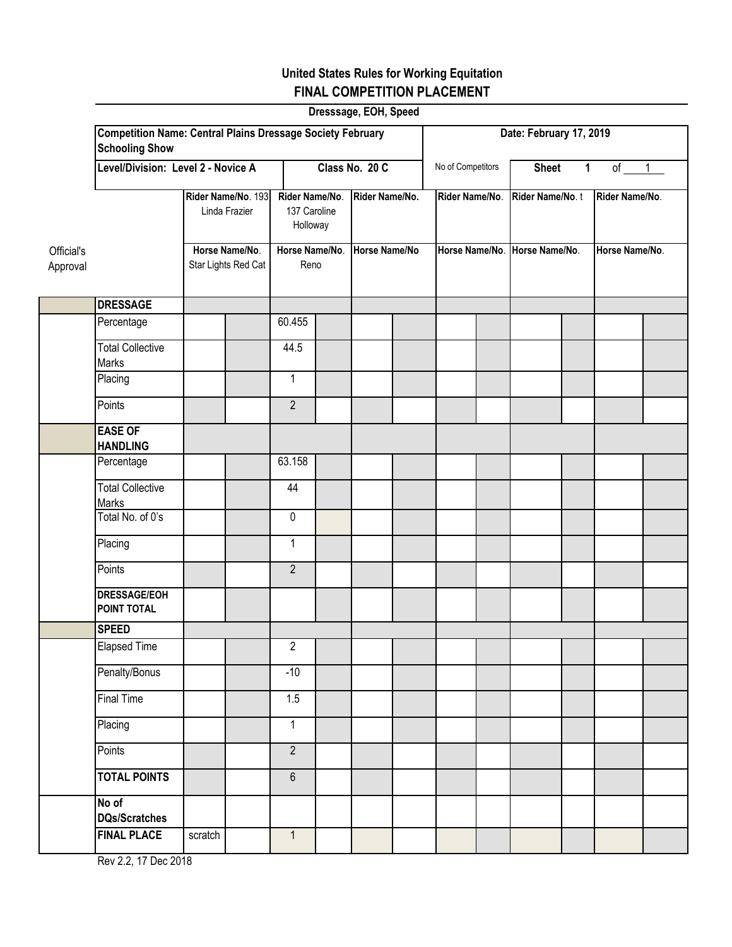## **United States Rules for Working Equitation FINAL COMPETITION PLACEMENT**

|                        |                                                                                            |                                       |                                     |                                |                                            | Dresssage, EOH, Speed |                |                               |                         |              |                 |                |                |  |
|------------------------|--------------------------------------------------------------------------------------------|---------------------------------------|-------------------------------------|--------------------------------|--------------------------------------------|-----------------------|----------------|-------------------------------|-------------------------|--------------|-----------------|----------------|----------------|--|
|                        | <b>Competition Name: Central Plains Dressage Society February</b><br><b>Schooling Show</b> |                                       |                                     |                                |                                            |                       |                |                               | Date: February 17, 2019 |              |                 |                |                |  |
|                        |                                                                                            | Level/Division: Level 2 - Novice A    |                                     |                                | Class No. 20 C                             |                       |                |                               | No of Competitors       | <b>Sheet</b> | $\mathbf 1$     | of $1$         |                |  |
|                        |                                                                                            |                                       | Rider Name/No. 193<br>Linda Frazier |                                | Rider Name/No.<br>137 Caroline<br>Holloway |                       | Rider Name/No. |                               | Rider Name/No.          |              | Rider Name/No.t |                | Rider Name/No. |  |
| Official's<br>Approval |                                                                                            | Horse Name/No.<br>Star Lights Red Cat |                                     | Horse Name/No.<br>Reno         |                                            | Horse Name/No         |                | Horse Name/No. Horse Name/No. |                         |              |                 | Horse Name/No. |                |  |
|                        | <b>DRESSAGE</b>                                                                            |                                       |                                     |                                |                                            |                       |                |                               |                         |              |                 |                |                |  |
|                        | Percentage                                                                                 |                                       |                                     | 60.455                         |                                            |                       |                |                               |                         |              |                 |                |                |  |
|                        | <b>Total Collective</b><br>Marks                                                           |                                       |                                     | 44.5                           |                                            |                       |                |                               |                         |              |                 |                |                |  |
|                        | Placing                                                                                    |                                       |                                     | 1                              |                                            |                       |                |                               |                         |              |                 |                |                |  |
|                        | Points                                                                                     |                                       |                                     | $\overline{2}$                 |                                            |                       |                |                               |                         |              |                 |                |                |  |
|                        | <b>EASE OF</b><br><b>HANDLING</b>                                                          |                                       |                                     |                                |                                            |                       |                |                               |                         |              |                 |                |                |  |
|                        | Percentage                                                                                 |                                       |                                     | 63.158                         |                                            |                       |                |                               |                         |              |                 |                |                |  |
|                        | <b>Total Collective</b><br>Marks                                                           |                                       |                                     | 44                             |                                            |                       |                |                               |                         |              |                 |                |                |  |
|                        | Total No. of 0's                                                                           |                                       |                                     | $\pmb{0}$                      |                                            |                       |                |                               |                         |              |                 |                |                |  |
|                        | Placing                                                                                    |                                       |                                     | $\mathbf{1}$                   |                                            |                       |                |                               |                         |              |                 |                |                |  |
|                        | Points                                                                                     |                                       |                                     | $\overline{2}$                 |                                            |                       |                |                               |                         |              |                 |                |                |  |
|                        | <b>DRESSAGE/EOH</b><br>POINT TOTAL                                                         |                                       |                                     |                                |                                            |                       |                |                               |                         |              |                 |                |                |  |
|                        | <b>SPEED</b>                                                                               |                                       |                                     |                                |                                            |                       |                |                               |                         |              |                 |                |                |  |
|                        | <b>Elapsed Time</b>                                                                        |                                       |                                     | 2                              |                                            |                       |                |                               |                         |              |                 |                |                |  |
|                        | Penalty/Bonus                                                                              |                                       |                                     | $-10$                          |                                            |                       |                |                               |                         |              |                 |                |                |  |
|                        | <b>Final Time</b>                                                                          |                                       |                                     | 1.5                            |                                            |                       |                |                               |                         |              |                 |                |                |  |
|                        | Placing<br>Points                                                                          |                                       |                                     | $\mathbf{1}$<br>$\overline{2}$ |                                            |                       |                |                               |                         |              |                 |                |                |  |
|                        | <b>TOTAL POINTS</b>                                                                        |                                       |                                     | $6\,$                          |                                            |                       |                |                               |                         |              |                 |                |                |  |
|                        | No of                                                                                      |                                       |                                     |                                |                                            |                       |                |                               |                         |              |                 |                |                |  |
|                        | <b>DQs/Scratches</b>                                                                       |                                       |                                     |                                |                                            |                       |                |                               |                         |              |                 |                |                |  |
|                        | <b>FINAL PLACE</b>                                                                         | scratch                               |                                     | $\mathbf{1}$                   |                                            |                       |                |                               |                         |              |                 |                |                |  |

Rev 2.2, 17 Dec 2018